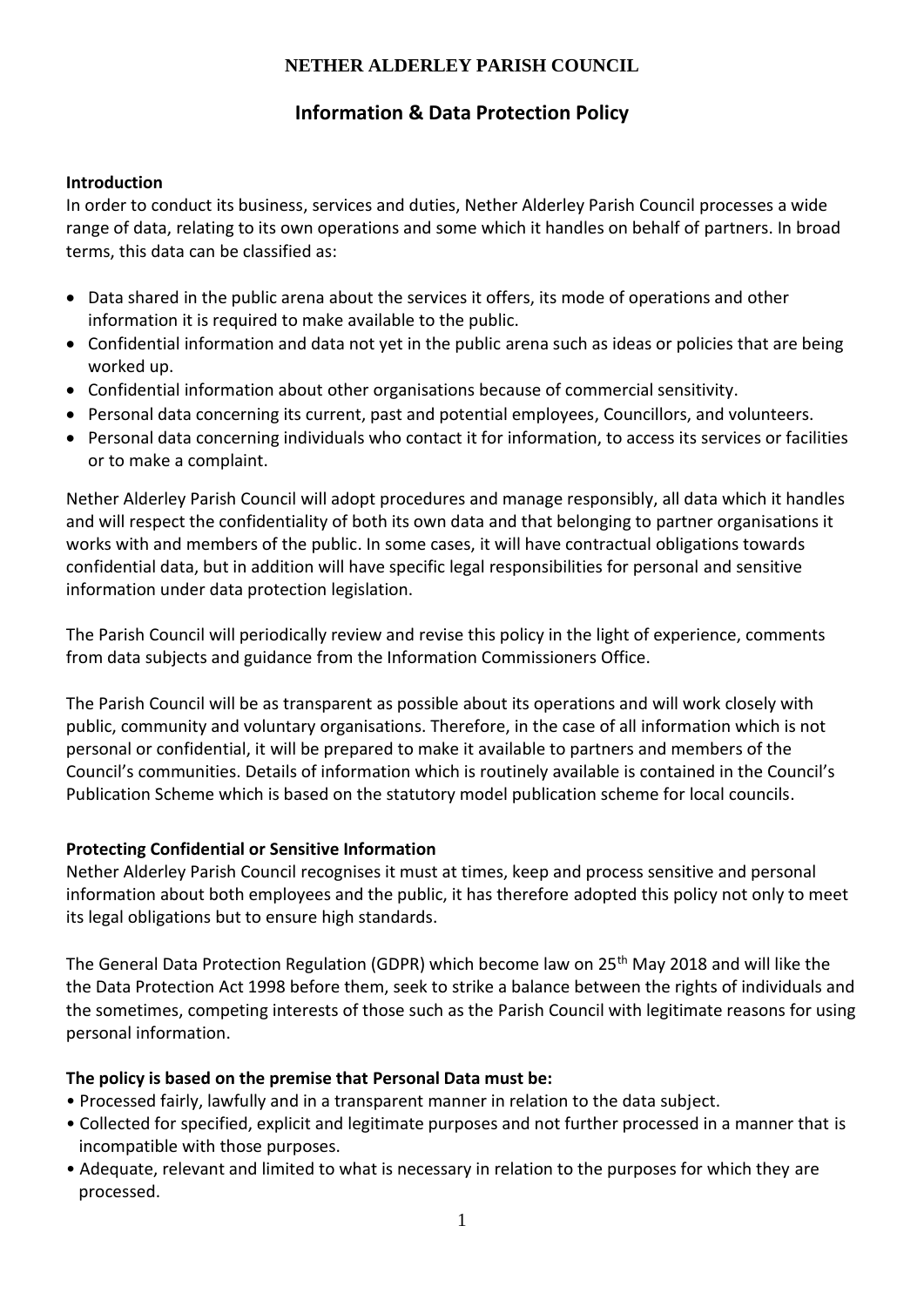# **Information & Data Protection Policy**

#### **Introduction**

In order to conduct its business, services and duties, Nether Alderley Parish Council processes a wide range of data, relating to its own operations and some which it handles on behalf of partners. In broad terms, this data can be classified as:

- Data shared in the public arena about the services it offers, its mode of operations and other information it is required to make available to the public.
- Confidential information and data not yet in the public arena such as ideas or policies that are being worked up.
- Confidential information about other organisations because of commercial sensitivity.
- Personal data concerning its current, past and potential employees, Councillors, and volunteers.
- Personal data concerning individuals who contact it for information, to access its services or facilities or to make a complaint.

Nether Alderley Parish Council will adopt procedures and manage responsibly, all data which it handles and will respect the confidentiality of both its own data and that belonging to partner organisations it works with and members of the public. In some cases, it will have contractual obligations towards confidential data, but in addition will have specific legal responsibilities for personal and sensitive information under data protection legislation.

The Parish Council will periodically review and revise this policy in the light of experience, comments from data subjects and guidance from the Information Commissioners Office.

The Parish Council will be as transparent as possible about its operations and will work closely with public, community and voluntary organisations. Therefore, in the case of all information which is not personal or confidential, it will be prepared to make it available to partners and members of the Council's communities. Details of information which is routinely available is contained in the Council's Publication Scheme which is based on the statutory model publication scheme for local councils.

### **Protecting Confidential or Sensitive Information**

Nether Alderley Parish Council recognises it must at times, keep and process sensitive and personal information about both employees and the public, it has therefore adopted this policy not only to meet its legal obligations but to ensure high standards.

The General Data Protection Regulation (GDPR) which become law on 25<sup>th</sup> May 2018 and will like the the Data Protection Act 1998 before them, seek to strike a balance between the rights of individuals and the sometimes, competing interests of those such as the Parish Council with legitimate reasons for using personal information.

### **The policy is based on the premise that Personal Data must be:**

- Processed fairly, lawfully and in a transparent manner in relation to the data subject.
- Collected for specified, explicit and legitimate purposes and not further processed in a manner that is incompatible with those purposes.
- Adequate, relevant and limited to what is necessary in relation to the purposes for which they are processed.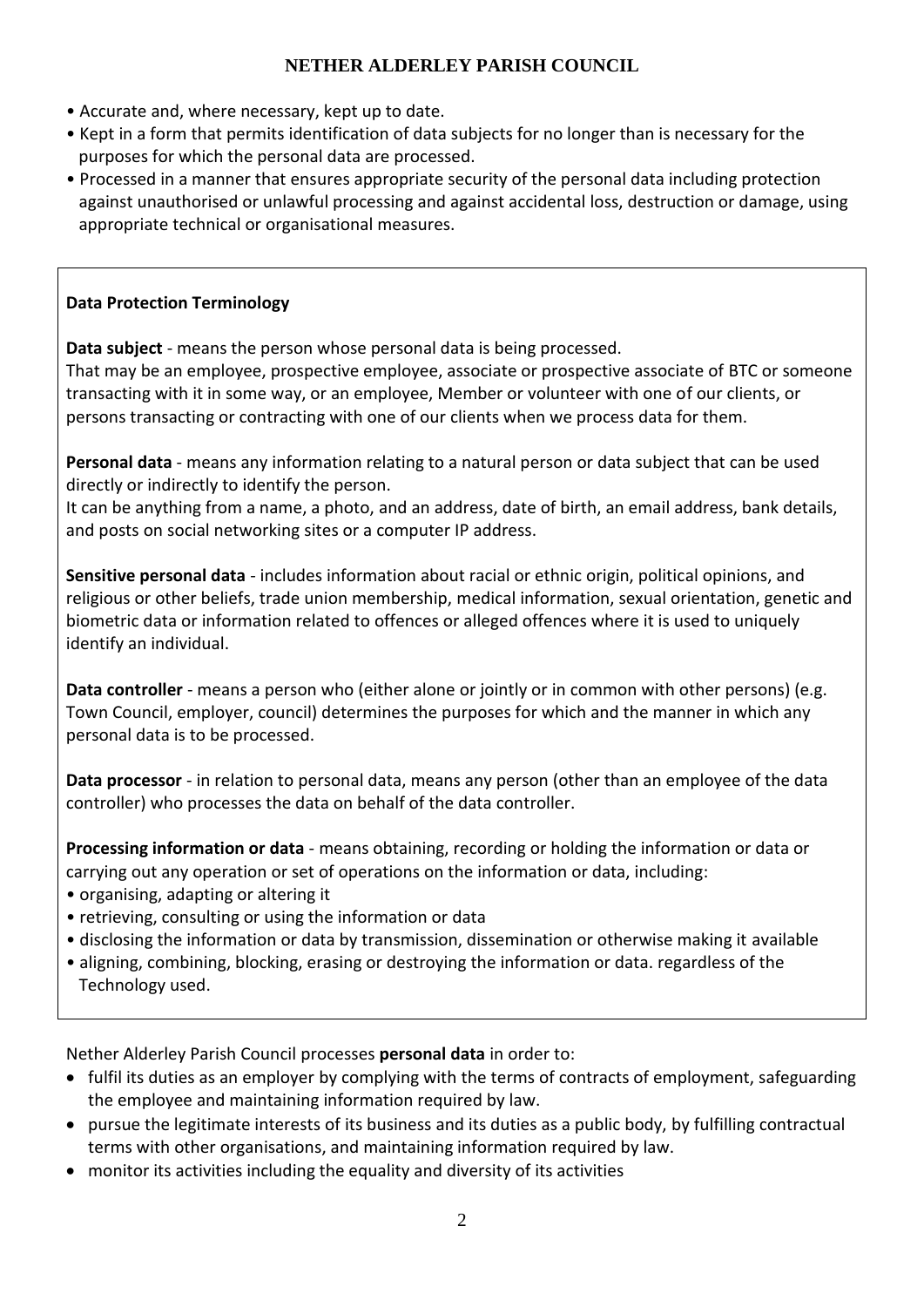- Accurate and, where necessary, kept up to date.
- Kept in a form that permits identification of data subjects for no longer than is necessary for the purposes for which the personal data are processed.
- Processed in a manner that ensures appropriate security of the personal data including protection against unauthorised or unlawful processing and against accidental loss, destruction or damage, using appropriate technical or organisational measures.

# **Data Protection Terminology**

**Data subject** - means the person whose personal data is being processed.

That may be an employee, prospective employee, associate or prospective associate of BTC or someone transacting with it in some way, or an employee, Member or volunteer with one of our clients, or persons transacting or contracting with one of our clients when we process data for them.

**Personal data** - means any information relating to a natural person or data subject that can be used directly or indirectly to identify the person.

It can be anything from a name, a photo, and an address, date of birth, an email address, bank details, and posts on social networking sites or a computer IP address.

**Sensitive personal data** - includes information about racial or ethnic origin, political opinions, and religious or other beliefs, trade union membership, medical information, sexual orientation, genetic and biometric data or information related to offences or alleged offences where it is used to uniquely identify an individual.

**Data controller** - means a person who (either alone or jointly or in common with other persons) (e.g. Town Council, employer, council) determines the purposes for which and the manner in which any personal data is to be processed.

**Data processor** - in relation to personal data, means any person (other than an employee of the data controller) who processes the data on behalf of the data controller.

**Processing information or data** - means obtaining, recording or holding the information or data or carrying out any operation or set of operations on the information or data, including:

- organising, adapting or altering it
- retrieving, consulting or using the information or data
- disclosing the information or data by transmission, dissemination or otherwise making it available
- aligning, combining, blocking, erasing or destroying the information or data. regardless of the Technology used.

Nether Alderley Parish Council processes **personal data** in order to:

- fulfil its duties as an employer by complying with the terms of contracts of employment, safeguarding the employee and maintaining information required by law.
- pursue the legitimate interests of its business and its duties as a public body, by fulfilling contractual terms with other organisations, and maintaining information required by law.
- monitor its activities including the equality and diversity of its activities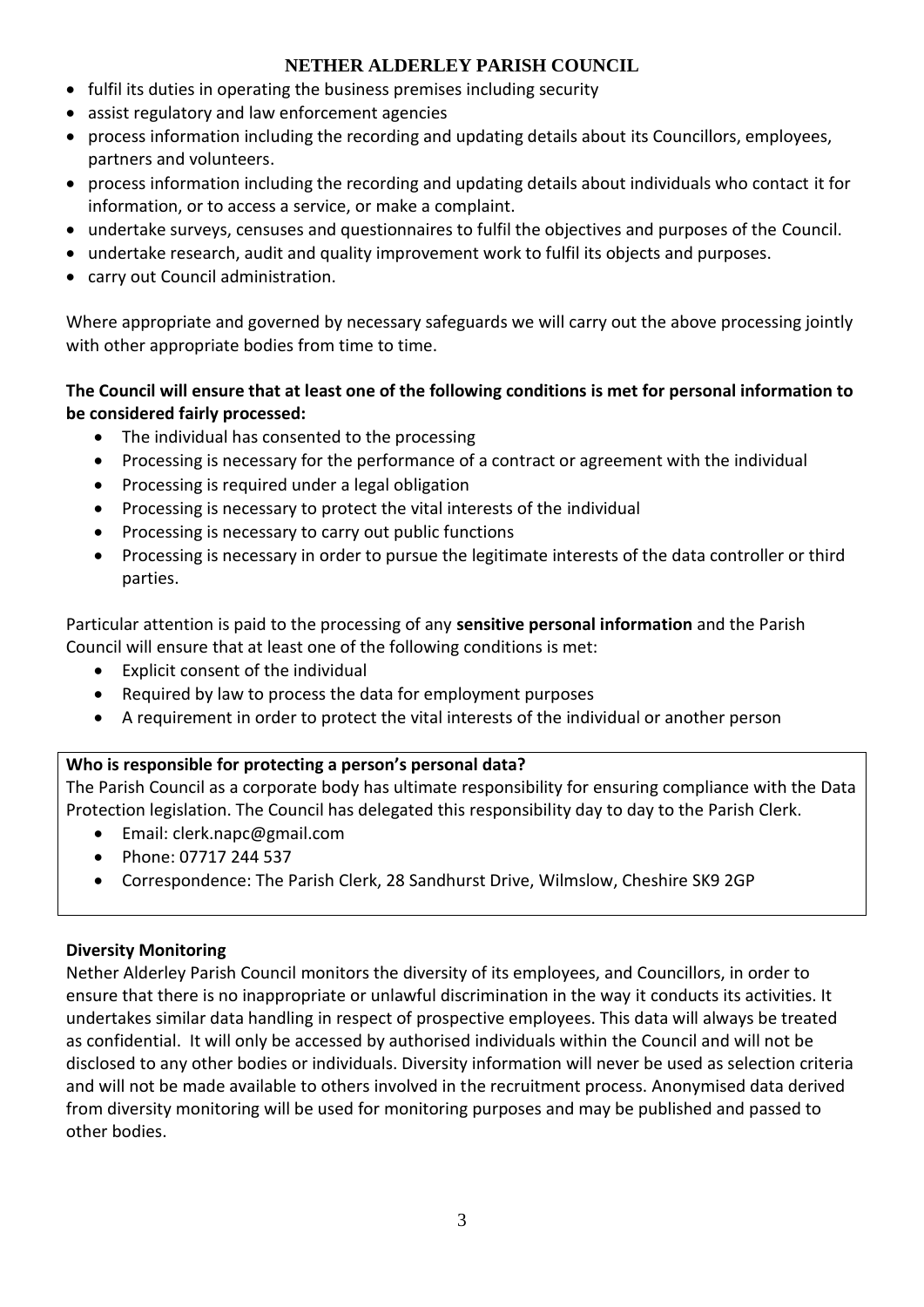- fulfil its duties in operating the business premises including security
- assist regulatory and law enforcement agencies
- process information including the recording and updating details about its Councillors, employees, partners and volunteers.
- process information including the recording and updating details about individuals who contact it for information, or to access a service, or make a complaint.
- undertake surveys, censuses and questionnaires to fulfil the objectives and purposes of the Council.
- undertake research, audit and quality improvement work to fulfil its objects and purposes.
- carry out Council administration.

Where appropriate and governed by necessary safeguards we will carry out the above processing jointly with other appropriate bodies from time to time.

# **The Council will ensure that at least one of the following conditions is met for personal information to be considered fairly processed:**

- The individual has consented to the processing
- Processing is necessary for the performance of a contract or agreement with the individual
- Processing is required under a legal obligation
- Processing is necessary to protect the vital interests of the individual
- Processing is necessary to carry out public functions
- Processing is necessary in order to pursue the legitimate interests of the data controller or third parties.

Particular attention is paid to the processing of any **sensitive personal information** and the Parish Council will ensure that at least one of the following conditions is met:

- Explicit consent of the individual
- Required by law to process the data for employment purposes
- A requirement in order to protect the vital interests of the individual or another person

# **Who is responsible for protecting a person's personal data?**

The Parish Council as a corporate body has ultimate responsibility for ensuring compliance with the Data Protection legislation. The Council has delegated this responsibility day to day to the Parish Clerk.

- Email: clerk.napc@gmail.com
- Phone: 07717 244 537
- Correspondence: The Parish Clerk, 28 Sandhurst Drive, Wilmslow, Cheshire SK9 2GP

### **Diversity Monitoring**

Nether Alderley Parish Council monitors the diversity of its employees, and Councillors, in order to ensure that there is no inappropriate or unlawful discrimination in the way it conducts its activities. It undertakes similar data handling in respect of prospective employees. This data will always be treated as confidential. It will only be accessed by authorised individuals within the Council and will not be disclosed to any other bodies or individuals. Diversity information will never be used as selection criteria and will not be made available to others involved in the recruitment process. Anonymised data derived from diversity monitoring will be used for monitoring purposes and may be published and passed to other bodies.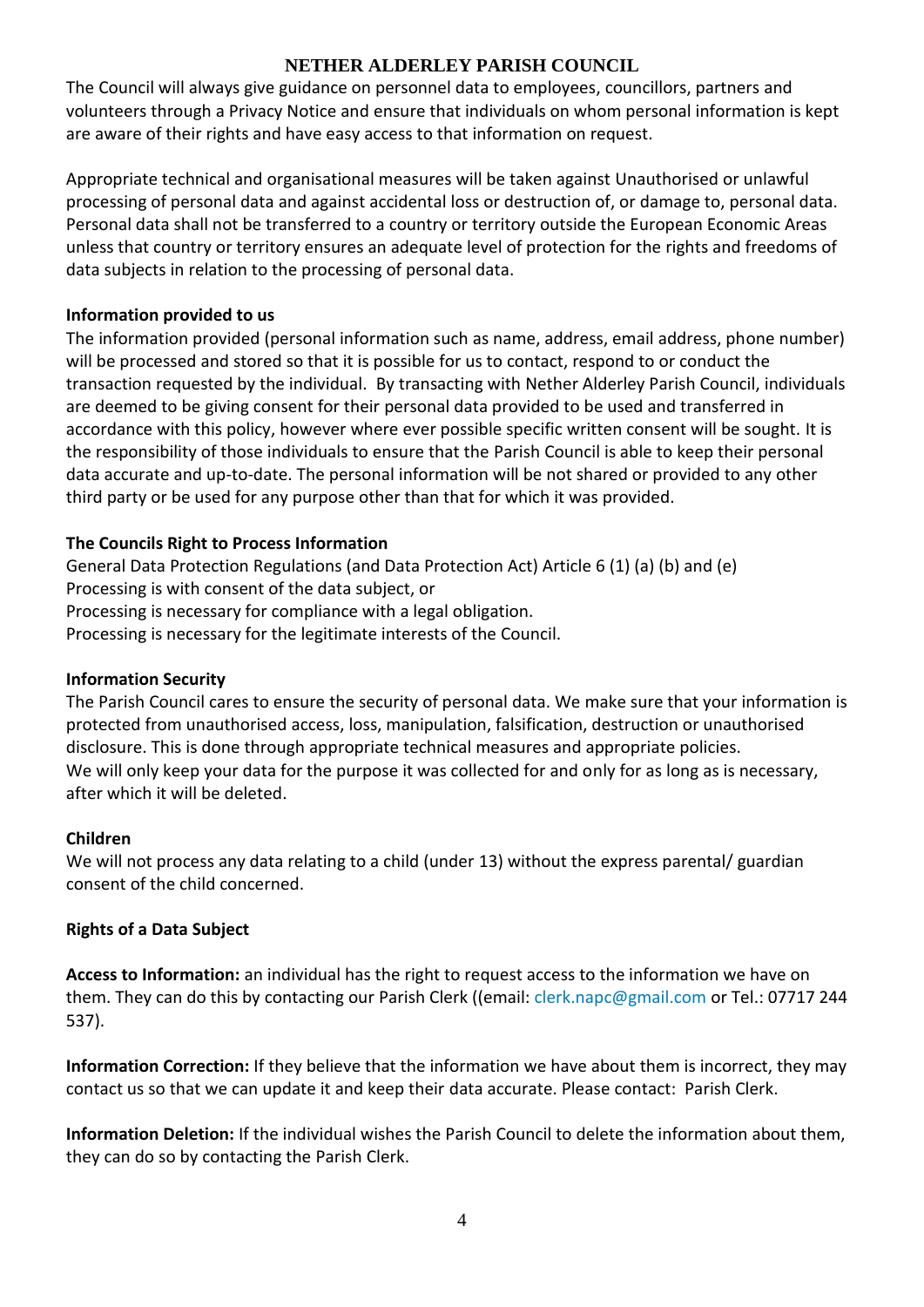The Council will always give guidance on personnel data to employees, councillors, partners and volunteers through a Privacy Notice and ensure that individuals on whom personal information is kept are aware of their rights and have easy access to that information on request.

Appropriate technical and organisational measures will be taken against Unauthorised or unlawful processing of personal data and against accidental loss or destruction of, or damage to, personal data. Personal data shall not be transferred to a country or territory outside the European Economic Areas unless that country or territory ensures an adequate level of protection for the rights and freedoms of data subjects in relation to the processing of personal data.

## **Information provided to us**

The information provided (personal information such as name, address, email address, phone number) will be processed and stored so that it is possible for us to contact, respond to or conduct the transaction requested by the individual. By transacting with Nether Alderley Parish Council, individuals are deemed to be giving consent for their personal data provided to be used and transferred in accordance with this policy, however where ever possible specific written consent will be sought. It is the responsibility of those individuals to ensure that the Parish Council is able to keep their personal data accurate and up-to-date. The personal information will be not shared or provided to any other third party or be used for any purpose other than that for which it was provided.

# **The Councils Right to Process Information**

General Data Protection Regulations (and Data Protection Act) Article 6 (1) (a) (b) and (e) Processing is with consent of the data subject, or Processing is necessary for compliance with a legal obligation. Processing is necessary for the legitimate interests of the Council.

### **Information Security**

The Parish Council cares to ensure the security of personal data. We make sure that your information is protected from unauthorised access, loss, manipulation, falsification, destruction or unauthorised disclosure. This is done through appropriate technical measures and appropriate policies. We will only keep your data for the purpose it was collected for and only for as long as is necessary, after which it will be deleted.

### **Children**

We will not process any data relating to a child (under 13) without the express parental/ guardian consent of the child concerned.

# **Rights of a Data Subject**

**Access to Information:** an individual has the right to request access to the information we have on them. They can do this by contacting our Parish Clerk ((email: [clerk.napc@gmail.com](mailto:clerk.napc@gmail.com) or Tel.: 07717 244 537).

**Information Correction:** If they believe that the information we have about them is incorrect, they may contact us so that we can update it and keep their data accurate. Please contact: Parish Clerk.

**Information Deletion:** If the individual wishes the Parish Council to delete the information about them, they can do so by contacting the Parish Clerk.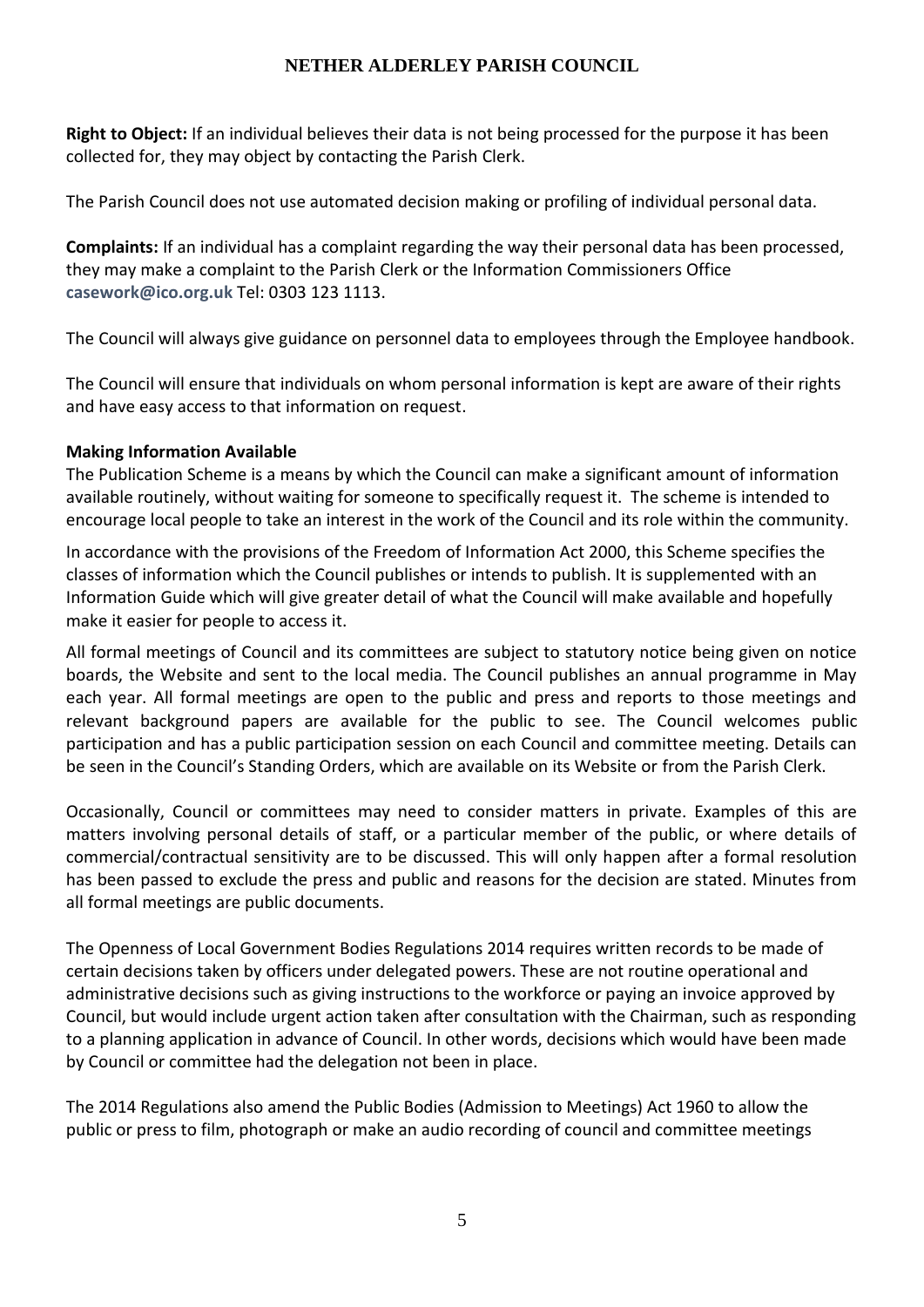**Right to Object:** If an individual believes their data is not being processed for the purpose it has been collected for, they may object by contacting the Parish Clerk.

The Parish Council does not use automated decision making or profiling of individual personal data.

**Complaints:** If an individual has a complaint regarding the way their personal data has been processed, they may make a complaint to the Parish Clerk or the Information Commissioners Office **[casework@ico.org.uk](mailto:casework@ico.org.uk)** Tel: 0303 123 1113.

The Council will always give guidance on personnel data to employees through the Employee handbook.

The Council will ensure that individuals on whom personal information is kept are aware of their rights and have easy access to that information on request.

#### **Making Information Available**

The Publication Scheme is a means by which the Council can make a significant amount of information available routinely, without waiting for someone to specifically request it. The scheme is intended to encourage local people to take an interest in the work of the Council and its role within the community.

In accordance with the provisions of the Freedom of Information Act 2000, this Scheme specifies the classes of information which the Council publishes or intends to publish. It is supplemented with an Information Guide which will give greater detail of what the Council will make available and hopefully make it easier for people to access it.

All formal meetings of Council and its committees are subject to statutory notice being given on notice boards, the Website and sent to the local media. The Council publishes an annual programme in May each year. All formal meetings are open to the public and press and reports to those meetings and relevant background papers are available for the public to see. The Council welcomes public participation and has a public participation session on each Council and committee meeting. Details can be seen in the Council's Standing Orders, which are available on its Website or from the Parish Clerk.

Occasionally, Council or committees may need to consider matters in private. Examples of this are matters involving personal details of staff, or a particular member of the public, or where details of commercial/contractual sensitivity are to be discussed. This will only happen after a formal resolution has been passed to exclude the press and public and reasons for the decision are stated. Minutes from all formal meetings are public documents.

The Openness of Local Government Bodies Regulations 2014 requires written records to be made of certain decisions taken by officers under delegated powers. These are not routine operational and administrative decisions such as giving instructions to the workforce or paying an invoice approved by Council, but would include urgent action taken after consultation with the Chairman, such as responding to a planning application in advance of Council. In other words, decisions which would have been made by Council or committee had the delegation not been in place.

The 2014 Regulations also amend the Public Bodies (Admission to Meetings) Act 1960 to allow the public or press to film, photograph or make an audio recording of council and committee meetings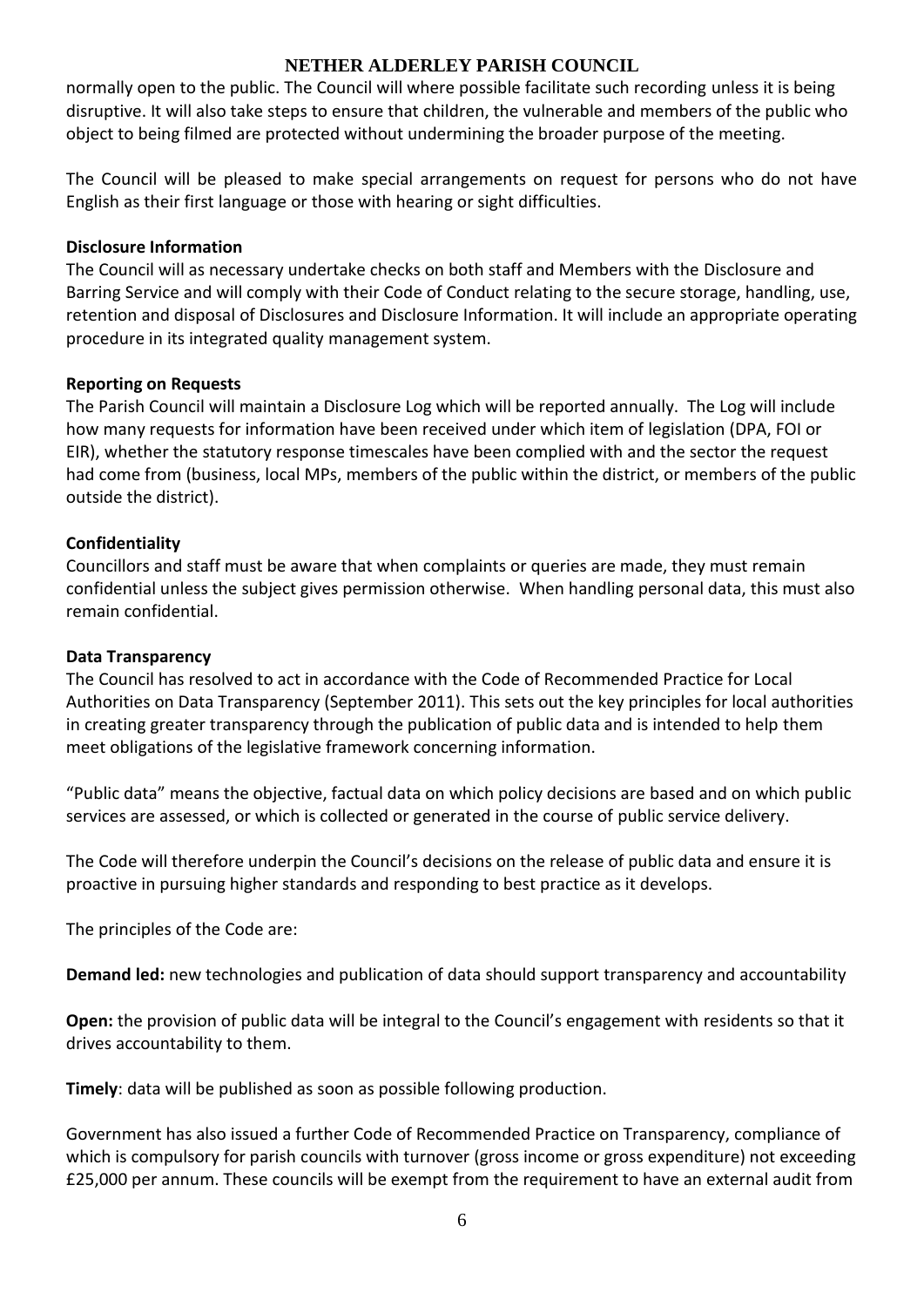normally open to the public. The Council will where possible facilitate such recording unless it is being disruptive. It will also take steps to ensure that children, the vulnerable and members of the public who object to being filmed are protected without undermining the broader purpose of the meeting.

The Council will be pleased to make special arrangements on request for persons who do not have English as their first language or those with hearing or sight difficulties.

#### **Disclosure Information**

The Council will as necessary undertake checks on both staff and Members with the Disclosure and Barring Service and will comply with their Code of Conduct relating to the secure storage, handling, use, retention and disposal of Disclosures and Disclosure Information. It will include an appropriate operating procedure in its integrated quality management system.

#### **Reporting on Requests**

The Parish Council will maintain a Disclosure Log which will be reported annually. The Log will include how many requests for information have been received under which item of legislation (DPA, FOI or EIR), whether the statutory response timescales have been complied with and the sector the request had come from (business, local MPs, members of the public within the district, or members of the public outside the district).

### **Confidentiality**

Councillors and staff must be aware that when complaints or queries are made, they must remain confidential unless the subject gives permission otherwise. When handling personal data, this must also remain confidential.

#### **Data Transparency**

The Council has resolved to act in accordance with the Code of Recommended Practice for Local Authorities on Data Transparency (September 2011). This sets out the key principles for local authorities in creating greater transparency through the publication of public data and is intended to help them meet obligations of the legislative framework concerning information.

"Public data" means the objective, factual data on which policy decisions are based and on which public services are assessed, or which is collected or generated in the course of public service delivery.

The Code will therefore underpin the Council's decisions on the release of public data and ensure it is proactive in pursuing higher standards and responding to best practice as it develops.

The principles of the Code are:

**Demand led:** new technologies and publication of data should support transparency and accountability

**Open:** the provision of public data will be integral to the Council's engagement with residents so that it drives accountability to them.

**Timely**: data will be published as soon as possible following production.

Government has also issued a further Code of Recommended Practice on Transparency, compliance of which is compulsory for parish councils with turnover (gross income or gross expenditure) not exceeding £25,000 per annum. These councils will be exempt from the requirement to have an external audit from